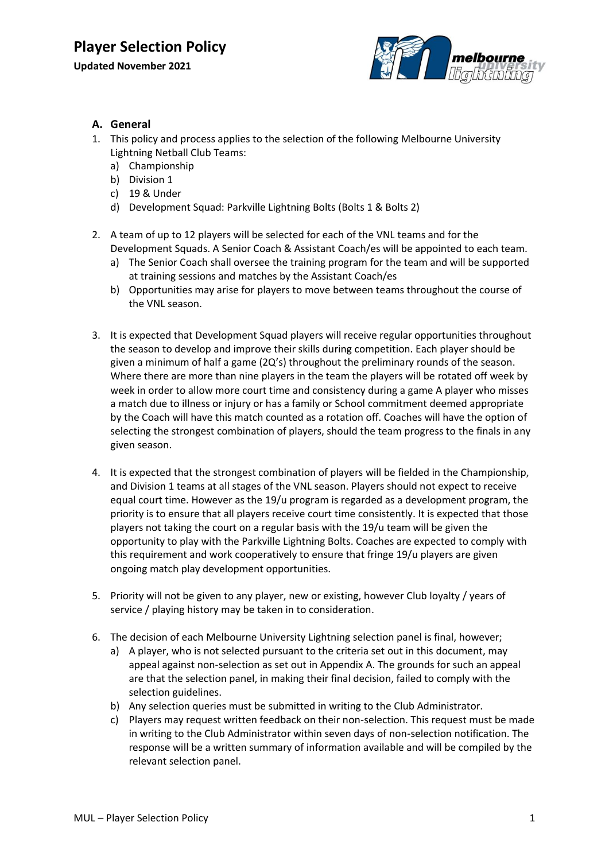

#### **A. General**

- 1. This policy and process applies to the selection of the following Melbourne University Lightning Netball Club Teams:
	- a) Championship
	- b) Division 1
	- c) 19 & Under
	- d) Development Squad: Parkville Lightning Bolts (Bolts 1 & Bolts 2)
- 2. A team of up to 12 players will be selected for each of the VNL teams and for the Development Squads. A Senior Coach & Assistant Coach/es will be appointed to each team.
	- a) The Senior Coach shall oversee the training program for the team and will be supported at training sessions and matches by the Assistant Coach/es
	- b) Opportunities may arise for players to move between teams throughout the course of the VNL season.
- 3. It is expected that Development Squad players will receive regular opportunities throughout the season to develop and improve their skills during competition. Each player should be given a minimum of half a game (2Q's) throughout the preliminary rounds of the season. Where there are more than nine players in the team the players will be rotated off week by week in order to allow more court time and consistency during a game A player who misses a match due to illness or injury or has a family or School commitment deemed appropriate by the Coach will have this match counted as a rotation off. Coaches will have the option of selecting the strongest combination of players, should the team progress to the finals in any given season.
- 4. It is expected that the strongest combination of players will be fielded in the Championship, and Division 1 teams at all stages of the VNL season. Players should not expect to receive equal court time. However as the 19/u program is regarded as a development program, the priority is to ensure that all players receive court time consistently. It is expected that those players not taking the court on a regular basis with the 19/u team will be given the opportunity to play with the Parkville Lightning Bolts. Coaches are expected to comply with this requirement and work cooperatively to ensure that fringe 19/u players are given ongoing match play development opportunities.
- 5. Priority will not be given to any player, new or existing, however Club loyalty / years of service / playing history may be taken in to consideration.
- 6. The decision of each Melbourne University Lightning selection panel is final, however;
	- a) A player, who is not selected pursuant to the criteria set out in this document, may appeal against non-selection as set out in Appendix A. The grounds for such an appeal are that the selection panel, in making their final decision, failed to comply with the selection guidelines.
	- b) Any selection queries must be submitted in writing to the Club Administrator.
	- c) Players may request written feedback on their non-selection. This request must be made in writing to the Club Administrator within seven days of non-selection notification. The response will be a written summary of information available and will be compiled by the relevant selection panel.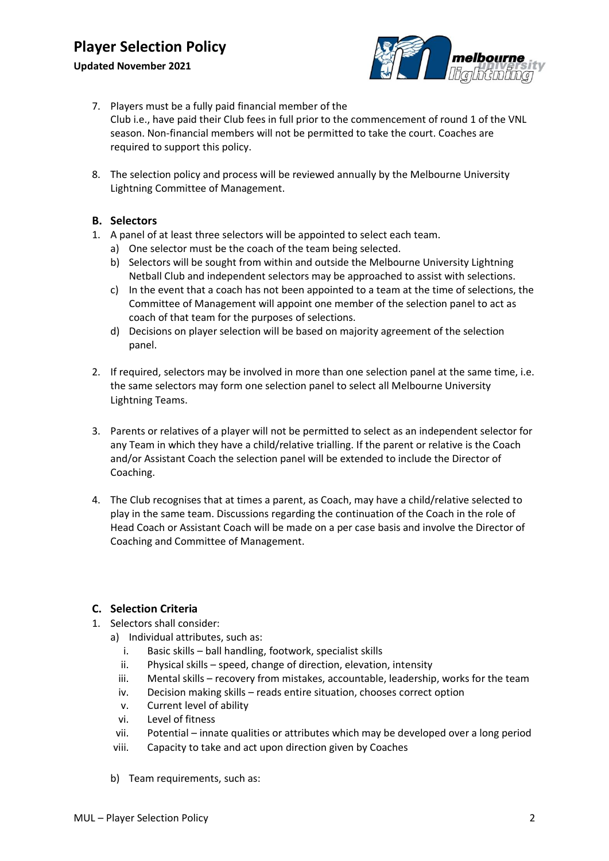#### **Updated November 2021**



- 7. Players must be a fully paid financial member of the Club i.e., have paid their Club fees in full prior to the commencement of round 1 of the VNL season. Non-financial members will not be permitted to take the court. Coaches are required to support this policy.
- 8. The selection policy and process will be reviewed annually by the Melbourne University Lightning Committee of Management.

#### **B. Selectors**

- 1. A panel of at least three selectors will be appointed to select each team.
	- a) One selector must be the coach of the team being selected.
	- b) Selectors will be sought from within and outside the Melbourne University Lightning Netball Club and independent selectors may be approached to assist with selections.
	- c) In the event that a coach has not been appointed to a team at the time of selections, the Committee of Management will appoint one member of the selection panel to act as coach of that team for the purposes of selections.
	- d) Decisions on player selection will be based on majority agreement of the selection panel.
- 2. If required, selectors may be involved in more than one selection panel at the same time, i.e. the same selectors may form one selection panel to select all Melbourne University Lightning Teams.
- 3. Parents or relatives of a player will not be permitted to select as an independent selector for any Team in which they have a child/relative trialling. If the parent or relative is the Coach and/or Assistant Coach the selection panel will be extended to include the Director of Coaching.
- 4. The Club recognises that at times a parent, as Coach, may have a child/relative selected to play in the same team. Discussions regarding the continuation of the Coach in the role of Head Coach or Assistant Coach will be made on a per case basis and involve the Director of Coaching and Committee of Management.

#### **C. Selection Criteria**

- 1. Selectors shall consider:
	- a) Individual attributes, such as:
		- i. Basic skills ball handling, footwork, specialist skills
		- ii. Physical skills speed, change of direction, elevation, intensity
		- iii. Mental skills recovery from mistakes, accountable, leadership, works for the team
		- iv. Decision making skills reads entire situation, chooses correct option
		- v. Current level of ability
		- vi. Level of fitness
	- vii. Potential innate qualities or attributes which may be developed over a long period
	- viii. Capacity to take and act upon direction given by Coaches
	- b) Team requirements, such as: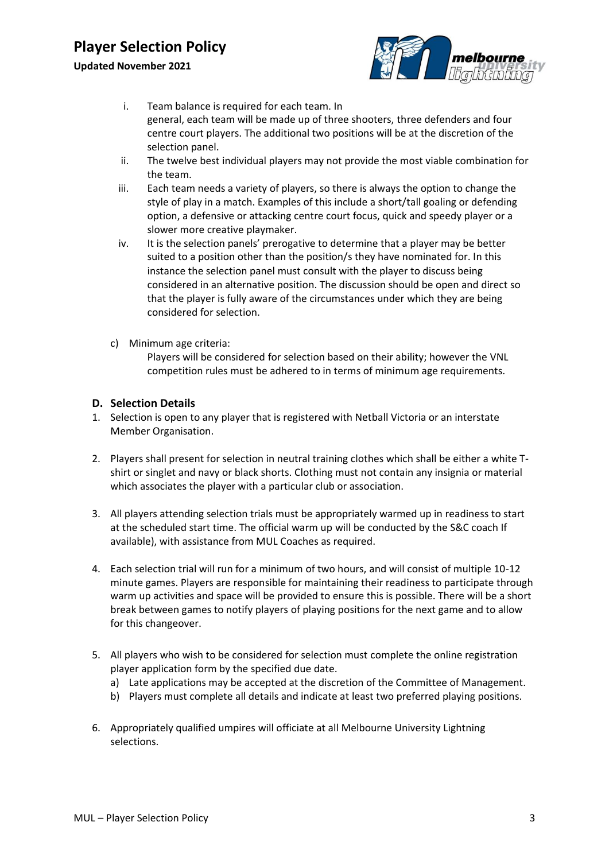#### **Updated November 2021**



- i. Team balance is required for each team. In general, each team will be made up of three shooters, three defenders and four centre court players. The additional two positions will be at the discretion of the selection panel.
- ii. The twelve best individual players may not provide the most viable combination for the team.
- iii. Each team needs a variety of players, so there is always the option to change the style of play in a match. Examples of this include a short/tall goaling or defending option, a defensive or attacking centre court focus, quick and speedy player or a slower more creative playmaker.
- iv. It is the selection panels' prerogative to determine that a player may be better suited to a position other than the position/s they have nominated for. In this instance the selection panel must consult with the player to discuss being considered in an alternative position. The discussion should be open and direct so that the player is fully aware of the circumstances under which they are being considered for selection.
- c) Minimum age criteria:

Players will be considered for selection based on their ability; however the VNL competition rules must be adhered to in terms of minimum age requirements.

#### **D. Selection Details**

- 1. Selection is open to any player that is registered with Netball Victoria or an interstate Member Organisation.
- 2. Players shall present for selection in neutral training clothes which shall be either a white Tshirt or singlet and navy or black shorts. Clothing must not contain any insignia or material which associates the player with a particular club or association.
- 3. All players attending selection trials must be appropriately warmed up in readiness to start at the scheduled start time. The official warm up will be conducted by the S&C coach If available), with assistance from MUL Coaches as required.
- 4. Each selection trial will run for a minimum of two hours, and will consist of multiple 10-12 minute games. Players are responsible for maintaining their readiness to participate through warm up activities and space will be provided to ensure this is possible. There will be a short break between games to notify players of playing positions for the next game and to allow for this changeover.
- 5. All players who wish to be considered for selection must complete the online registration player application form by the specified due date.
	- a) Late applications may be accepted at the discretion of the Committee of Management.
	- b) Players must complete all details and indicate at least two preferred playing positions.
- 6. Appropriately qualified umpires will officiate at all Melbourne University Lightning selections.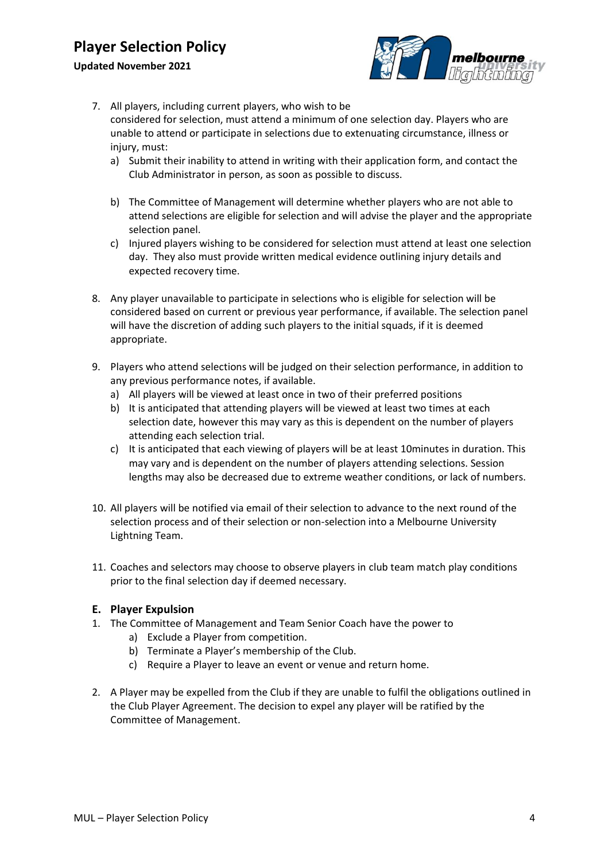#### **Updated November 2021**



- 7. All players, including current players, who wish to be considered for selection, must attend a minimum of one selection day. Players who are unable to attend or participate in selections due to extenuating circumstance, illness or injury, must:
	- a) Submit their inability to attend in writing with their application form, and contact the Club Administrator in person, as soon as possible to discuss.
	- b) The Committee of Management will determine whether players who are not able to attend selections are eligible for selection and will advise the player and the appropriate selection panel.
	- c) Injured players wishing to be considered for selection must attend at least one selection day. They also must provide written medical evidence outlining injury details and expected recovery time.
- 8. Any player unavailable to participate in selections who is eligible for selection will be considered based on current or previous year performance, if available. The selection panel will have the discretion of adding such players to the initial squads, if it is deemed appropriate.
- 9. Players who attend selections will be judged on their selection performance, in addition to any previous performance notes, if available.
	- a) All players will be viewed at least once in two of their preferred positions
	- b) It is anticipated that attending players will be viewed at least two times at each selection date, however this may vary as this is dependent on the number of players attending each selection trial.
	- c) It is anticipated that each viewing of players will be at least 10minutes in duration. This may vary and is dependent on the number of players attending selections. Session lengths may also be decreased due to extreme weather conditions, or lack of numbers.
- 10. All players will be notified via email of their selection to advance to the next round of the selection process and of their selection or non-selection into a Melbourne University Lightning Team.
- 11. Coaches and selectors may choose to observe players in club team match play conditions prior to the final selection day if deemed necessary.

#### **E. Player Expulsion**

- 1. The Committee of Management and Team Senior Coach have the power to
	- a) Exclude a Player from competition.
	- b) Terminate a Player's membership of the Club.
	- c) Require a Player to leave an event or venue and return home.
- 2. A Player may be expelled from the Club if they are unable to fulfil the obligations outlined in the Club Player Agreement. The decision to expel any player will be ratified by the Committee of Management.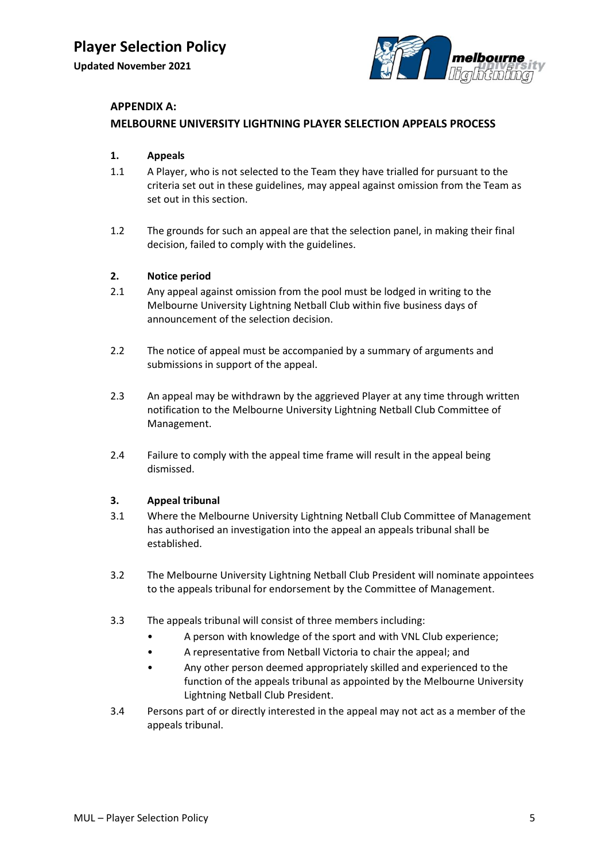

#### **APPENDIX A:**

#### **MELBOURNE UNIVERSITY LIGHTNING PLAYER SELECTION APPEALS PROCESS**

#### **1. Appeals**

- 1.1 A Player, who is not selected to the Team they have trialled for pursuant to the criteria set out in these guidelines, may appeal against omission from the Team as set out in this section.
- 1.2 The grounds for such an appeal are that the selection panel, in making their final decision, failed to comply with the guidelines.

#### **2. Notice period**

- 2.1 Any appeal against omission from the pool must be lodged in writing to the Melbourne University Lightning Netball Club within five business days of announcement of the selection decision.
- 2.2 The notice of appeal must be accompanied by a summary of arguments and submissions in support of the appeal.
- 2.3 An appeal may be withdrawn by the aggrieved Player at any time through written notification to the Melbourne University Lightning Netball Club Committee of Management.
- 2.4 Failure to comply with the appeal time frame will result in the appeal being dismissed.

#### **3. Appeal tribunal**

- 3.1 Where the Melbourne University Lightning Netball Club Committee of Management has authorised an investigation into the appeal an appeals tribunal shall be established.
- 3.2 The Melbourne University Lightning Netball Club President will nominate appointees to the appeals tribunal for endorsement by the Committee of Management.
- 3.3 The appeals tribunal will consist of three members including:
	- A person with knowledge of the sport and with VNL Club experience;
	- A representative from Netball Victoria to chair the appeal; and
	- Any other person deemed appropriately skilled and experienced to the function of the appeals tribunal as appointed by the Melbourne University Lightning Netball Club President.
- 3.4 Persons part of or directly interested in the appeal may not act as a member of the appeals tribunal.